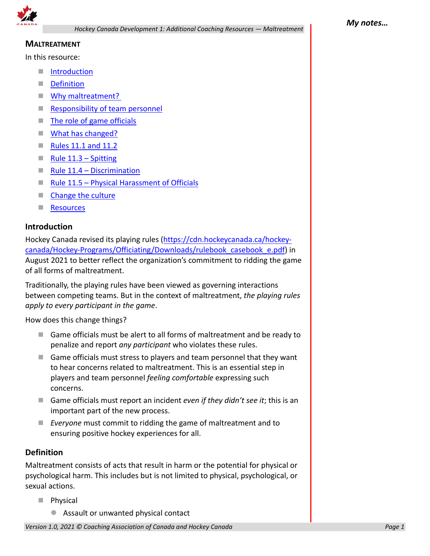

# **MALTREATMENT**

In this resource:

- **I** Introduction
- **Definition**
- **Why maltreatment?**
- **Responsibility of team personnel**
- The role of game officials
- **What has changed?**
- $\blacksquare$  Rules 11.1 and 11.2
- Rule  $11.3 -$  Spitting
- $\blacksquare$  Rule 11.4 Discrimination
- $\blacksquare$  Rule 11.5 Physical Harassment of Officials
- Change the culture
- Resources

### **Introduction**

Hockey Canada revised its playing rules (https://cdn.hockeycanada.ca/hockeycanada/Hockey-Programs/Officiating/Downloads/rulebook\_casebook\_e.pdf) in August 2021 to better reflect the organization's commitment to ridding the game of all forms of maltreatment.

Traditionally, the playing rules have been viewed as governing interactions between competing teams. But in the context of maltreatment, *the playing rules apply to every participant in the game*.

How does this change things?

- Game officials must be alert to all forms of maltreatment and be ready to penalize and report *any participant* who violates these rules.
- Game officials must stress to players and team personnel that they want to hear concerns related to maltreatment. This is an essential step in players and team personnel *feeling comfortable* expressing such concerns.
- Game officials must report an incident *even if they didn't see it*; this is an important part of the new process.
- *Everyone* must commit to ridding the game of maltreatment and to ensuring positive hockey experiences for all.

### **Definition**

Maltreatment consists of acts that result in harm or the potential for physical or psychological harm. This includes but is not limited to physical, psychological, or sexual actions.

- Physical
	- Assault or unwanted physical contact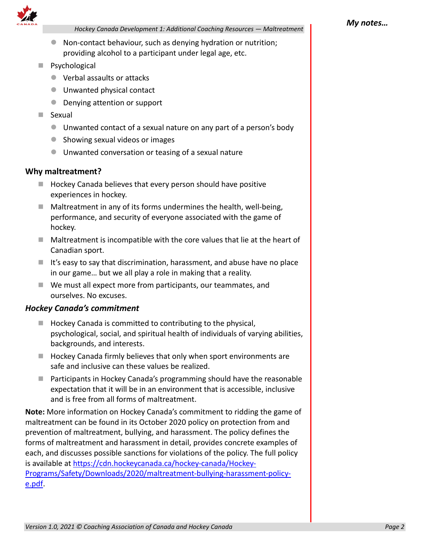

*Hockey Canada Development 1: Additional Coaching Resources — Maltreatment*

- Non-contact behaviour, such as denying hydration or nutrition; providing alcohol to a participant under legal age, etc.
- **Psychological** 
	- Verbal assaults or attacks
	- Unwanted physical contact
	- **Denying attention or support**
- **Sexual** 
	- Unwanted contact of a sexual nature on any part of a person's body
	- Showing sexual videos or images
	- Unwanted conversation or teasing of a sexual nature

#### **Why maltreatment?**

- Hockey Canada believes that every person should have positive experiences in hockey.
- $\blacksquare$  Maltreatment in any of its forms undermines the health, well-being, performance, and security of everyone associated with the game of hockey.
- $\blacksquare$  Maltreatment is incompatible with the core values that lie at the heart of Canadian sport.
- $\blacksquare$  It's easy to say that discrimination, harassment, and abuse have no place in our game… but we all play a role in making that a reality.
- We must all expect more from participants, our teammates, and ourselves. No excuses.

### *Hockey Canada's commitment*

- $\blacksquare$  Hockey Canada is committed to contributing to the physical, psychological, social, and spiritual health of individuals of varying abilities, backgrounds, and interests.
- $\blacksquare$  Hockey Canada firmly believes that only when sport environments are safe and inclusive can these values be realized.
- **Participants in Hockey Canada's programming should have the reasonable** expectation that it will be in an environment that is accessible, inclusive and is free from all forms of maltreatment.

**Note:** More information on Hockey Canada's commitment to ridding the game of maltreatment can be found in its October 2020 policy on protection from and prevention of maltreatment, bullying, and harassment. The policy defines the forms of maltreatment and harassment in detail, provides concrete examples of each, and discusses possible sanctions for violations of the policy. The full policy is available at https://cdn.hockeycanada.ca/hockey-canada/Hockey-Programs/Safety/Downloads/2020/maltreatment-bullying-harassment-policye.pdf.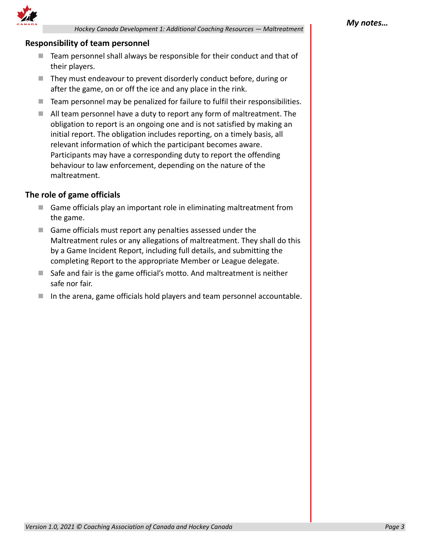

*Hockey Canada Development 1: Additional Coaching Resources — Maltreatment*

# **Responsibility of team personnel**

- $\blacksquare$  Team personnel shall always be responsible for their conduct and that of their players.
- They must endeavour to prevent disorderly conduct before, during or after the game, on or off the ice and any place in the rink.
- Team personnel may be penalized for failure to fulfil their responsibilities.
- All team personnel have a duty to report any form of maltreatment. The obligation to report is an ongoing one and is not satisfied by making an initial report. The obligation includes reporting, on a timely basis, all relevant information of which the participant becomes aware. Participants may have a corresponding duty to report the offending behaviour to law enforcement, depending on the nature of the maltreatment.

# **The role of game officials**

- Game officials play an important role in eliminating maltreatment from the game.
- Game officials must report any penalties assessed under the Maltreatment rules or any allegations of maltreatment. They shall do this by a Game Incident Report, including full details, and submitting the completing Report to the appropriate Member or League delegate.
- $\blacksquare$  Safe and fair is the game official's motto. And maltreatment is neither safe nor fair.
- In the arena, game officials hold players and team personnel accountable.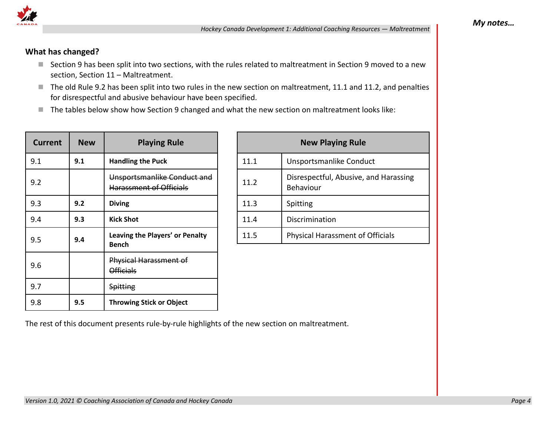

# **What has changed?**

- Section 9 has been split into two sections, with the rules related to maltreatment in Section 9 moved to a new section, Section 11 – Maltreatment.
- The old Rule 9.2 has been split into two rules in the new section on maltreatment, 11.1 and 11.2, and penalties for disrespectful and abusive behaviour have been specified.
- The tables below show how Section 9 changed and what the new section on maltreatment looks like:

| Current | <b>New</b> | <b>Playing Rule</b>                                           |  |
|---------|------------|---------------------------------------------------------------|--|
| 9.1     | 9.1        | <b>Handling the Puck</b>                                      |  |
| 9.2     |            | Unsportsmanlike Conduct and<br><b>Harassment of Officials</b> |  |
| 9.3     | 9.2        | <b>Diving</b>                                                 |  |
| 9.4     | 9.3        | <b>Kick Shot</b>                                              |  |
| 9.5     | 9.4        | Leaving the Players' or Penalty<br><b>Bench</b>               |  |
| 9.6     |            | Physical Harassment of<br><b>Officials</b>                    |  |
| 9.7     |            | Spitting                                                      |  |
| 9.8     | 9.5        | <b>Throwing Stick or Object</b>                               |  |

| <b>New Playing Rule</b> |                                                           |  |  |
|-------------------------|-----------------------------------------------------------|--|--|
| 11.1                    | Unsportsmanlike Conduct                                   |  |  |
| 11.2                    | Disrespectful, Abusive, and Harassing<br><b>Behaviour</b> |  |  |
| 11.3                    | Spitting                                                  |  |  |
| 11.4                    | Discrimination                                            |  |  |
| 11.5                    | <b>Physical Harassment of Officials</b>                   |  |  |

The rest of this document presents rule-by-rule highlights of the new section on maltreatment.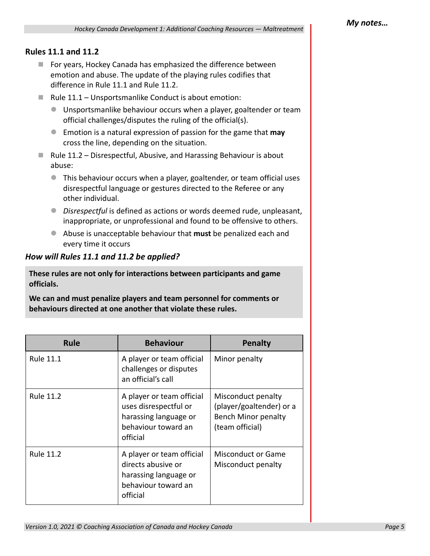# **Rules 11.1 and 11.2**

- For years, Hockey Canada has emphasized the difference between emotion and abuse. The update of the playing rules codifies that difference in Rule 11.1 and Rule 11.2.
- Rule  $11.1$  Unsportsmanlike Conduct is about emotion:
	- Unsportsmanlike behaviour occurs when a player, goaltender or team official challenges/disputes the ruling of the official(s).
	- Emotion is a natural expression of passion for the game that **may** cross the line, depending on the situation.
- $\blacksquare$  Rule 11.2 Disrespectful, Abusive, and Harassing Behaviour is about abuse:
	- This behaviour occurs when a player, goaltender, or team official uses disrespectful language or gestures directed to the Referee or any other individual.
	- *Disrespectful* is defined as actions or words deemed rude, unpleasant, inappropriate, or unprofessional and found to be offensive to others.
	- Abuse is unacceptable behaviour that **must** be penalized each and every time it occurs

# *How will Rules 11.1 and 11.2 be applied?*

**These rules are not only for interactions between participants and game officials.** 

**We can and must penalize players and team personnel for comments or behaviours directed at one another that violate these rules.**

| <b>Rule</b>      | <b>Behaviour</b>                                                                                               | <b>Penalty</b>                                                                                  |
|------------------|----------------------------------------------------------------------------------------------------------------|-------------------------------------------------------------------------------------------------|
| <b>Rule 11.1</b> | A player or team official<br>challenges or disputes<br>an official's call                                      | Minor penalty                                                                                   |
| <b>Rule 11.2</b> | A player or team official<br>uses disrespectful or<br>harassing language or<br>behaviour toward an<br>official | Misconduct penalty<br>(player/goaltender) or a<br><b>Bench Minor penalty</b><br>(team official) |
| <b>Rule 11.2</b> | A player or team official<br>directs abusive or<br>harassing language or<br>behaviour toward an<br>official    | <b>Misconduct or Game</b><br>Misconduct penalty                                                 |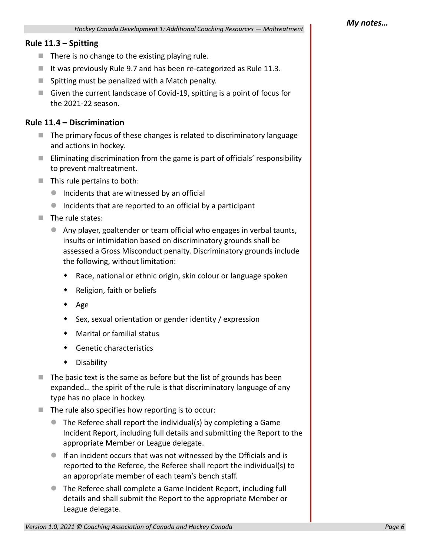#### **Rule 11.3 – Spitting**

- $\blacksquare$  There is no change to the existing playing rule.
- It was previously Rule 9.7 and has been re-categorized as Rule 11.3.
- $\blacksquare$  Spitting must be penalized with a Match penalty.
- Given the current landscape of Covid-19, spitting is a point of focus for the 2021-22 season.

### **Rule 11.4 – Discrimination**

- $\blacksquare$  The primary focus of these changes is related to discriminatory language and actions in hockey.
- **E** Eliminating discrimination from the game is part of officials' responsibility to prevent maltreatment.
- $\blacksquare$  This rule pertains to both:
	- **Incidents that are witnessed by an official**
	- $\bullet$  Incidents that are reported to an official by a participant
- $\blacksquare$  The rule states:
	- Any player, goaltender or team official who engages in verbal taunts, insults or intimidation based on discriminatory grounds shall be assessed a Gross Misconduct penalty. Discriminatory grounds include the following, without limitation:
		- Race, national or ethnic origin, skin colour or language spoken
		- Religion, faith or beliefs
		- $\bullet$  Age
		- Sex, sexual orientation or gender identity / expression
		- Marital or familial status
		- Genetic characteristics
		- Disability
- $\blacksquare$  The basic text is the same as before but the list of grounds has been expanded… the spirit of the rule is that discriminatory language of any type has no place in hockey.
- $\blacksquare$  The rule also specifies how reporting is to occur:
	- The Referee shall report the individual(s) by completing a Game Incident Report, including full details and submitting the Report to the appropriate Member or League delegate.
	- If an incident occurs that was not witnessed by the Officials and is reported to the Referee, the Referee shall report the individual(s) to an appropriate member of each team's bench staff.
	- The Referee shall complete a Game Incident Report, including full details and shall submit the Report to the appropriate Member or League delegate.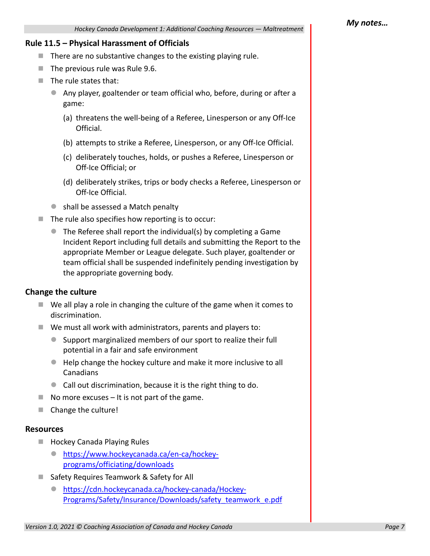#### **Rule 11.5 – Physical Harassment of Officials**

- $\blacksquare$  There are no substantive changes to the existing playing rule.
- $\blacksquare$  The previous rule was Rule 9.6.
- $\blacksquare$  The rule states that:
	- Any player, goaltender or team official who, before, during or after a game:
		- (a) threatens the well-being of a Referee, Linesperson or any Off-Ice Official.
		- (b) attempts to strike a Referee, Linesperson, or any Off-Ice Official.
		- (c) deliberately touches, holds, or pushes a Referee, Linesperson or Off-Ice Official; or
		- (d) deliberately strikes, trips or body checks a Referee, Linesperson or Off-Ice Official.
	- shall be assessed a Match penalty
- $\blacksquare$  The rule also specifies how reporting is to occur:
	- The Referee shall report the individual(s) by completing a Game Incident Report including full details and submitting the Report to the appropriate Member or League delegate. Such player, goaltender or team official shall be suspended indefinitely pending investigation by the appropriate governing body.

### **Change the culture**

- $\blacksquare$  We all play a role in changing the culture of the game when it comes to discrimination.
- We must all work with administrators, parents and players to:
	- Support marginalized members of our sport to realize their full potential in a fair and safe environment
	- Help change the hockey culture and make it more inclusive to all Canadians
	- Call out discrimination, because it is the right thing to do.
- $\blacksquare$  No more excuses It is not part of the game.
- Change the culture!

#### **Resources**

- **Hockey Canada Playing Rules** 
	- https://www.hockeycanada.ca/en-ca/hockeyprograms/officiating/downloads
- Safety Requires Teamwork & Safety for All
	- https://cdn.hockeycanada.ca/hockey-canada/Hockey-Programs/Safety/Insurance/Downloads/safety\_teamwork\_e.pdf